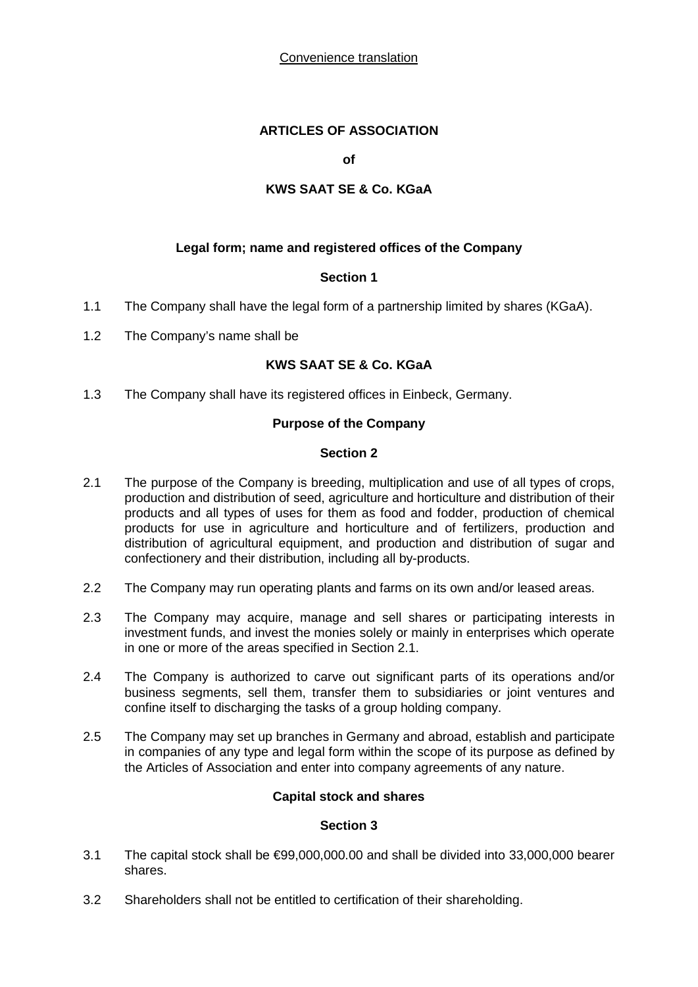Convenience translation

# **ARTICLES OF ASSOCIATION**

**of**

# **KWS SAAT SE & Co. KGaA**

## **Legal form; name and registered offices of the Company**

## **Section 1**

- 1.1 The Company shall have the legal form of a partnership limited by shares (KGaA).
- 1.2 The Company's name shall be

# **KWS SAAT SE & Co. KGaA**

1.3 The Company shall have its registered offices in Einbeck, Germany.

## **Purpose of the Company**

#### **Section 2**

- 2.1 The purpose of the Company is breeding, multiplication and use of all types of crops, production and distribution of seed, agriculture and horticulture and distribution of their products and all types of uses for them as food and fodder, production of chemical products for use in agriculture and horticulture and of fertilizers, production and distribution of agricultural equipment, and production and distribution of sugar and confectionery and their distribution, including all by-products.
- 2.2 The Company may run operating plants and farms on its own and/or leased areas.
- 2.3 The Company may acquire, manage and sell shares or participating interests in investment funds, and invest the monies solely or mainly in enterprises which operate in one or more of the areas specified in Section 2.1.
- 2.4 The Company is authorized to carve out significant parts of its operations and/or business segments, sell them, transfer them to subsidiaries or joint ventures and confine itself to discharging the tasks of a group holding company.
- 2.5 The Company may set up branches in Germany and abroad, establish and participate in companies of any type and legal form within the scope of its purpose as defined by the Articles of Association and enter into company agreements of any nature.

## **Capital stock and shares**

## **Section 3**

- 3.1 The capital stock shall be €99,000,000.00 and shall be divided into 33,000,000 bearer shares.
- 3.2 Shareholders shall not be entitled to certification of their shareholding.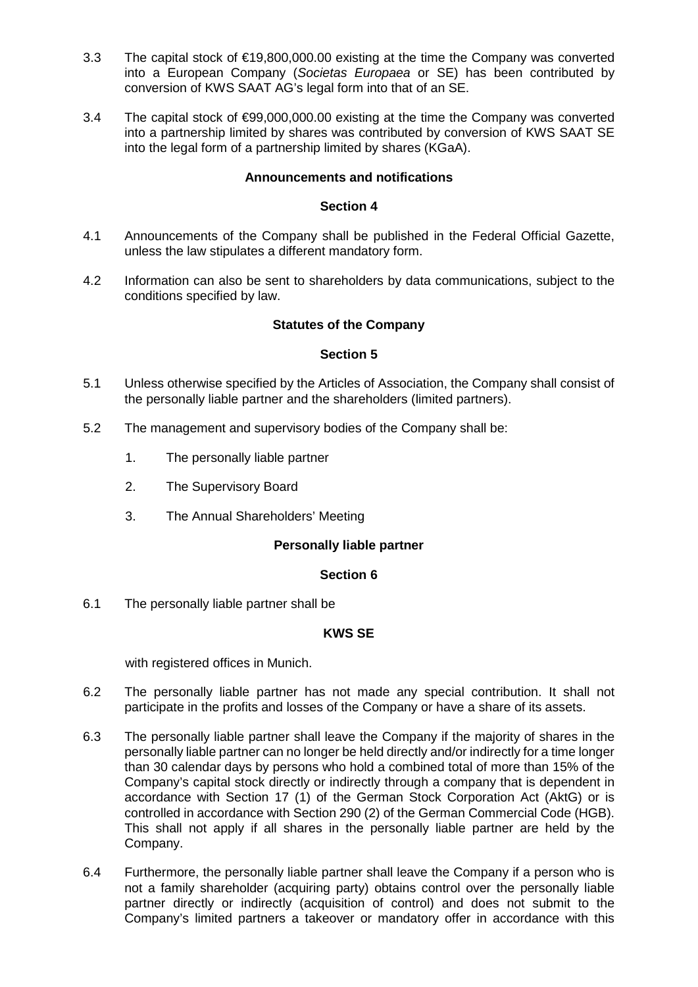- 3.3 The capital stock of €19,800,000.00 existing at the time the Company was converted into a European Company (*Societas Europaea* or SE) has been contributed by conversion of KWS SAAT AG's legal form into that of an SE.
- 3.4 The capital stock of €99,000,000.00 existing at the time the Company was converted into a partnership limited by shares was contributed by conversion of KWS SAAT SE into the legal form of a partnership limited by shares (KGaA).

## **Announcements and notifications**

## **Section 4**

- 4.1 Announcements of the Company shall be published in the Federal Official Gazette, unless the law stipulates a different mandatory form.
- 4.2 Information can also be sent to shareholders by data communications, subject to the conditions specified by law.

## **Statutes of the Company**

## **Section 5**

- 5.1 Unless otherwise specified by the Articles of Association, the Company shall consist of the personally liable partner and the shareholders (limited partners).
- 5.2 The management and supervisory bodies of the Company shall be:
	- 1. The personally liable partner
	- 2. The Supervisory Board
	- 3. The Annual Shareholders' Meeting

## **Personally liable partner**

## **Section 6**

6.1 The personally liable partner shall be

## **KWS SE**

with registered offices in Munich.

- 6.2 The personally liable partner has not made any special contribution. It shall not participate in the profits and losses of the Company or have a share of its assets.
- 6.3 The personally liable partner shall leave the Company if the majority of shares in the personally liable partner can no longer be held directly and/or indirectly for a time longer than 30 calendar days by persons who hold a combined total of more than 15% of the Company's capital stock directly or indirectly through a company that is dependent in accordance with Section 17 (1) of the German Stock Corporation Act (AktG) or is controlled in accordance with Section 290 (2) of the German Commercial Code (HGB). This shall not apply if all shares in the personally liable partner are held by the Company.
- 6.4 Furthermore, the personally liable partner shall leave the Company if a person who is not a family shareholder (acquiring party) obtains control over the personally liable partner directly or indirectly (acquisition of control) and does not submit to the Company's limited partners a takeover or mandatory offer in accordance with this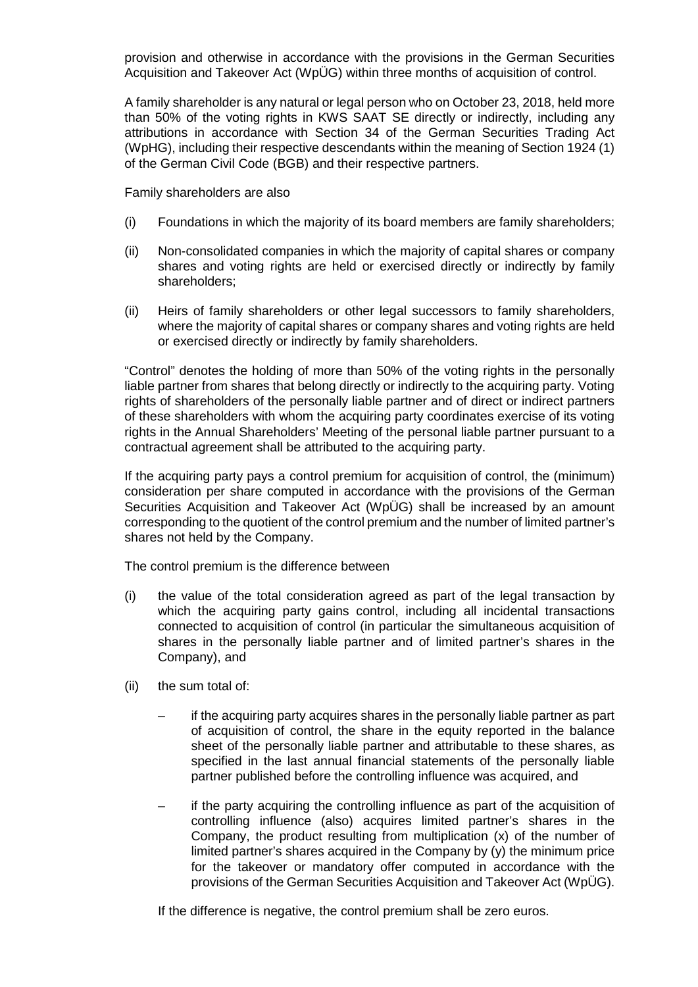provision and otherwise in accordance with the provisions in the German Securities Acquisition and Takeover Act (WpÜG) within three months of acquisition of control.

A family shareholder is any natural or legal person who on October 23, 2018, held more than 50% of the voting rights in KWS SAAT SE directly or indirectly, including any attributions in accordance with Section 34 of the German Securities Trading Act (WpHG), including their respective descendants within the meaning of Section 1924 (1) of the German Civil Code (BGB) and their respective partners.

Family shareholders are also

- (i) Foundations in which the majority of its board members are family shareholders;
- (ii) Non-consolidated companies in which the majority of capital shares or company shares and voting rights are held or exercised directly or indirectly by family shareholders;
- (ii) Heirs of family shareholders or other legal successors to family shareholders, where the majority of capital shares or company shares and voting rights are held or exercised directly or indirectly by family shareholders.

"Control" denotes the holding of more than 50% of the voting rights in the personally liable partner from shares that belong directly or indirectly to the acquiring party. Voting rights of shareholders of the personally liable partner and of direct or indirect partners of these shareholders with whom the acquiring party coordinates exercise of its voting rights in the Annual Shareholders' Meeting of the personal liable partner pursuant to a contractual agreement shall be attributed to the acquiring party.

If the acquiring party pays a control premium for acquisition of control, the (minimum) consideration per share computed in accordance with the provisions of the German Securities Acquisition and Takeover Act (WpÜG) shall be increased by an amount corresponding to the quotient of the control premium and the number of limited partner's shares not held by the Company.

The control premium is the difference between

- (i) the value of the total consideration agreed as part of the legal transaction by which the acquiring party gains control, including all incidental transactions connected to acquisition of control (in particular the simultaneous acquisition of shares in the personally liable partner and of limited partner's shares in the Company), and
- (ii) the sum total of:
	- if the acquiring party acquires shares in the personally liable partner as part of acquisition of control, the share in the equity reported in the balance sheet of the personally liable partner and attributable to these shares, as specified in the last annual financial statements of the personally liable partner published before the controlling influence was acquired, and
	- if the party acquiring the controlling influence as part of the acquisition of controlling influence (also) acquires limited partner's shares in the Company, the product resulting from multiplication (x) of the number of limited partner's shares acquired in the Company by (y) the minimum price for the takeover or mandatory offer computed in accordance with the provisions of the German Securities Acquisition and Takeover Act (WpÜG).

If the difference is negative, the control premium shall be zero euros.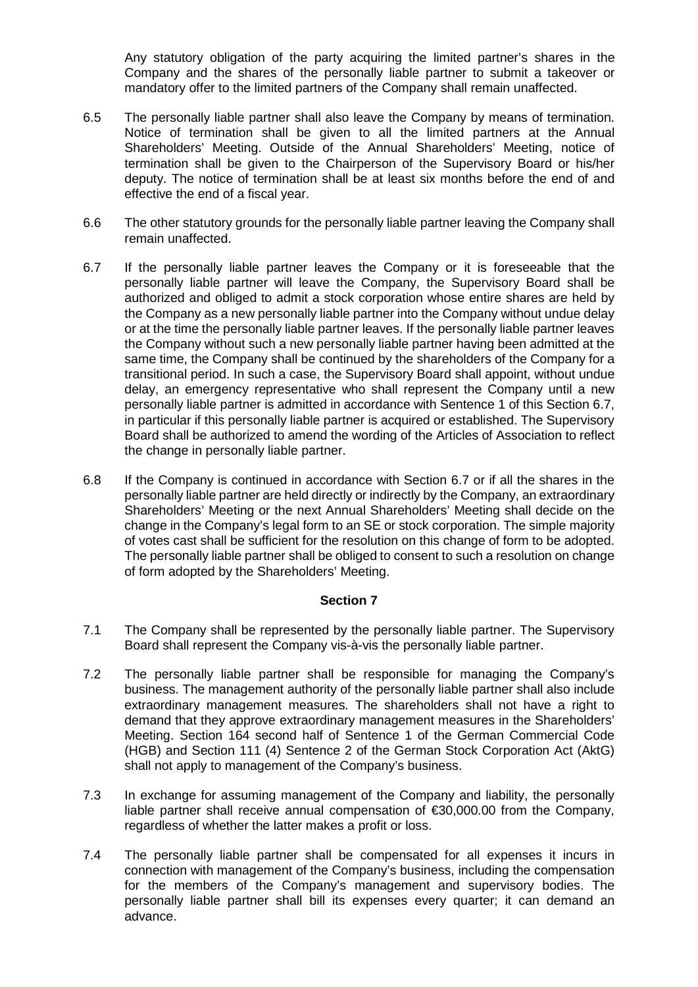Any statutory obligation of the party acquiring the limited partner's shares in the Company and the shares of the personally liable partner to submit a takeover or mandatory offer to the limited partners of the Company shall remain unaffected.

- 6.5 The personally liable partner shall also leave the Company by means of termination. Notice of termination shall be given to all the limited partners at the Annual Shareholders' Meeting. Outside of the Annual Shareholders' Meeting, notice of termination shall be given to the Chairperson of the Supervisory Board or his/her deputy. The notice of termination shall be at least six months before the end of and effective the end of a fiscal year.
- 6.6 The other statutory grounds for the personally liable partner leaving the Company shall remain unaffected.
- 6.7 If the personally liable partner leaves the Company or it is foreseeable that the personally liable partner will leave the Company, the Supervisory Board shall be authorized and obliged to admit a stock corporation whose entire shares are held by the Company as a new personally liable partner into the Company without undue delay or at the time the personally liable partner leaves. If the personally liable partner leaves the Company without such a new personally liable partner having been admitted at the same time, the Company shall be continued by the shareholders of the Company for a transitional period. In such a case, the Supervisory Board shall appoint, without undue delay, an emergency representative who shall represent the Company until a new personally liable partner is admitted in accordance with Sentence 1 of this Section 6.7, in particular if this personally liable partner is acquired or established. The Supervisory Board shall be authorized to amend the wording of the Articles of Association to reflect the change in personally liable partner.
- 6.8 If the Company is continued in accordance with Section 6.7 or if all the shares in the personally liable partner are held directly or indirectly by the Company, an extraordinary Shareholders' Meeting or the next Annual Shareholders' Meeting shall decide on the change in the Company's legal form to an SE or stock corporation. The simple majority of votes cast shall be sufficient for the resolution on this change of form to be adopted. The personally liable partner shall be obliged to consent to such a resolution on change of form adopted by the Shareholders' Meeting.

## **Section 7**

- 7.1 The Company shall be represented by the personally liable partner. The Supervisory Board shall represent the Company vis-à-vis the personally liable partner.
- 7.2 The personally liable partner shall be responsible for managing the Company's business. The management authority of the personally liable partner shall also include extraordinary management measures. The shareholders shall not have a right to demand that they approve extraordinary management measures in the Shareholders' Meeting. Section 164 second half of Sentence 1 of the German Commercial Code (HGB) and Section 111 (4) Sentence 2 of the German Stock Corporation Act (AktG) shall not apply to management of the Company's business.
- 7.3 In exchange for assuming management of the Company and liability, the personally liable partner shall receive annual compensation of €30,000.00 from the Company, regardless of whether the latter makes a profit or loss.
- 7.4 The personally liable partner shall be compensated for all expenses it incurs in connection with management of the Company's business, including the compensation for the members of the Company's management and supervisory bodies. The personally liable partner shall bill its expenses every quarter; it can demand an advance.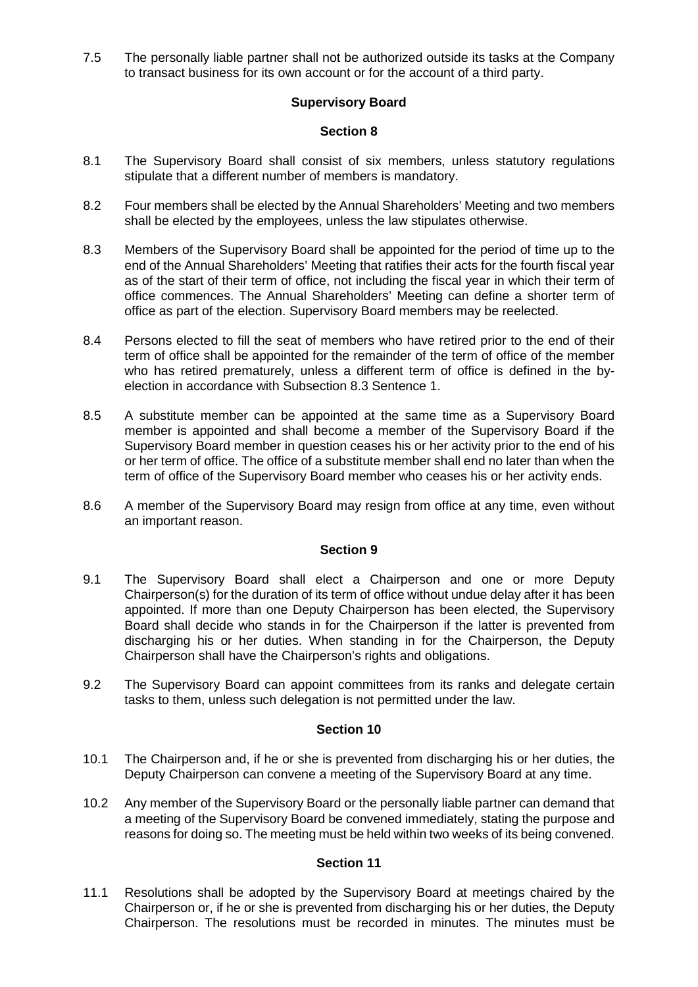7.5 The personally liable partner shall not be authorized outside its tasks at the Company to transact business for its own account or for the account of a third party.

# **Supervisory Board**

## **Section 8**

- 8.1 The Supervisory Board shall consist of six members, unless statutory regulations stipulate that a different number of members is mandatory.
- 8.2 Four members shall be elected by the Annual Shareholders' Meeting and two members shall be elected by the employees, unless the law stipulates otherwise.
- 8.3 Members of the Supervisory Board shall be appointed for the period of time up to the end of the Annual Shareholders' Meeting that ratifies their acts for the fourth fiscal year as of the start of their term of office, not including the fiscal year in which their term of office commences. The Annual Shareholders' Meeting can define a shorter term of office as part of the election. Supervisory Board members may be reelected.
- 8.4 Persons elected to fill the seat of members who have retired prior to the end of their term of office shall be appointed for the remainder of the term of office of the member who has retired prematurely, unless a different term of office is defined in the byelection in accordance with Subsection 8.3 Sentence 1.
- 8.5 A substitute member can be appointed at the same time as a Supervisory Board member is appointed and shall become a member of the Supervisory Board if the Supervisory Board member in question ceases his or her activity prior to the end of his or her term of office. The office of a substitute member shall end no later than when the term of office of the Supervisory Board member who ceases his or her activity ends.
- 8.6 A member of the Supervisory Board may resign from office at any time, even without an important reason.

#### **Section 9**

- 9.1 The Supervisory Board shall elect a Chairperson and one or more Deputy Chairperson(s) for the duration of its term of office without undue delay after it has been appointed. If more than one Deputy Chairperson has been elected, the Supervisory Board shall decide who stands in for the Chairperson if the latter is prevented from discharging his or her duties. When standing in for the Chairperson, the Deputy Chairperson shall have the Chairperson's rights and obligations.
- 9.2 The Supervisory Board can appoint committees from its ranks and delegate certain tasks to them, unless such delegation is not permitted under the law.

#### **Section 10**

- 10.1 The Chairperson and, if he or she is prevented from discharging his or her duties, the Deputy Chairperson can convene a meeting of the Supervisory Board at any time.
- 10.2 Any member of the Supervisory Board or the personally liable partner can demand that a meeting of the Supervisory Board be convened immediately, stating the purpose and reasons for doing so. The meeting must be held within two weeks of its being convened.

## **Section 11**

11.1 Resolutions shall be adopted by the Supervisory Board at meetings chaired by the Chairperson or, if he or she is prevented from discharging his or her duties, the Deputy Chairperson. The resolutions must be recorded in minutes. The minutes must be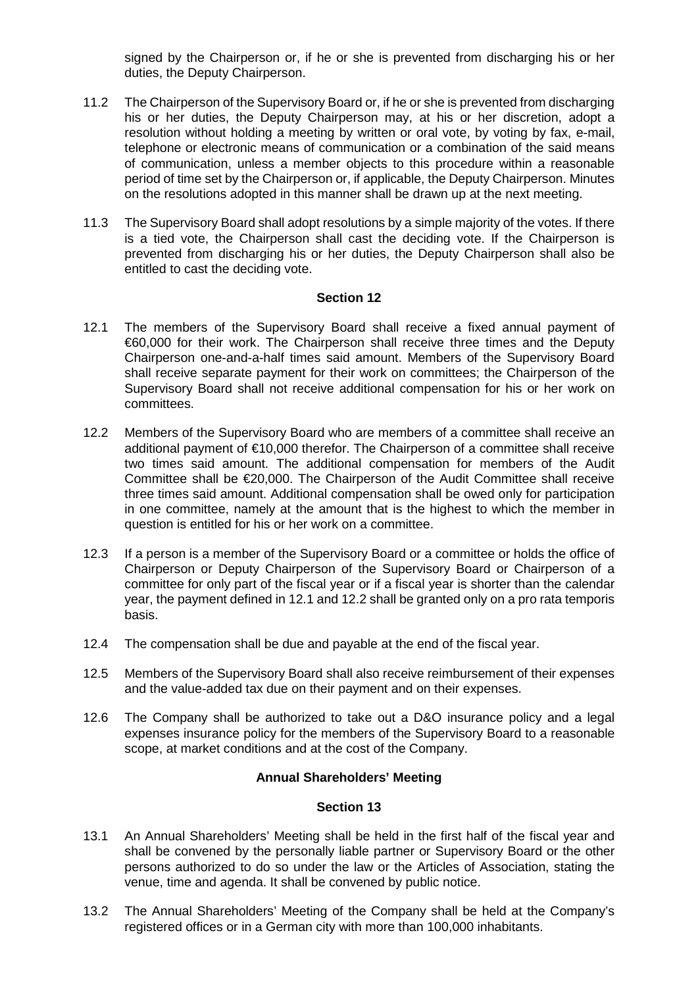signed by the Chairperson or, if he or she is prevented from discharging his or her duties, the Deputy Chairperson.

- 11.2 The Chairperson of the Supervisory Board or, if he or she is prevented from discharging his or her duties, the Deputy Chairperson may, at his or her discretion, adopt a resolution without holding a meeting by written or oral vote, by voting by fax, e-mail, telephone or electronic means of communication or a combination of the said means of communication, unless a member objects to this procedure within a reasonable period of time set by the Chairperson or, if applicable, the Deputy Chairperson. Minutes on the resolutions adopted in this manner shall be drawn up at the next meeting.
- 11.3 The Supervisory Board shall adopt resolutions by a simple majority of the votes. If there is a tied vote, the Chairperson shall cast the deciding vote. If the Chairperson is prevented from discharging his or her duties, the Deputy Chairperson shall also be entitled to cast the deciding vote.

#### **Section 12**

- 12.1 The members of the Supervisory Board shall receive a fixed annual payment of €60,000 for their work. The Chairperson shall receive three times and the Deputy Chairperson one-and-a-half times said amount. Members of the Supervisory Board shall receive separate payment for their work on committees; the Chairperson of the Supervisory Board shall not receive additional compensation for his or her work on committees.
- 12.2 Members of the Supervisory Board who are members of a committee shall receive an additional payment of €10,000 therefor. The Chairperson of a committee shall receive two times said amount. The additional compensation for members of the Audit Committee shall be €20,000. The Chairperson of the Audit Committee shall receive three times said amount. Additional compensation shall be owed only for participation in one committee, namely at the amount that is the highest to which the member in question is entitled for his or her work on a committee.
- 12.3 If a person is a member of the Supervisory Board or a committee or holds the office of Chairperson or Deputy Chairperson of the Supervisory Board or Chairperson of a committee for only part of the fiscal year or if a fiscal year is shorter than the calendar year, the payment defined in 12.1 and 12.2 shall be granted only on a pro rata temporis basis.
- 12.4 The compensation shall be due and payable at the end of the fiscal year.
- 12.5 Members of the Supervisory Board shall also receive reimbursement of their expenses and the value-added tax due on their payment and on their expenses.
- 12.6 The Company shall be authorized to take out a D&O insurance policy and a legal expenses insurance policy for the members of the Supervisory Board to a reasonable scope, at market conditions and at the cost of the Company.

## **Annual Shareholders' Meeting**

#### **Section 13**

- 13.1 An Annual Shareholders' Meeting shall be held in the first half of the fiscal year and shall be convened by the personally liable partner or Supervisory Board or the other persons authorized to do so under the law or the Articles of Association, stating the venue, time and agenda. It shall be convened by public notice.
- 13.2 The Annual Shareholders' Meeting of the Company shall be held at the Company's registered offices or in a German city with more than 100,000 inhabitants.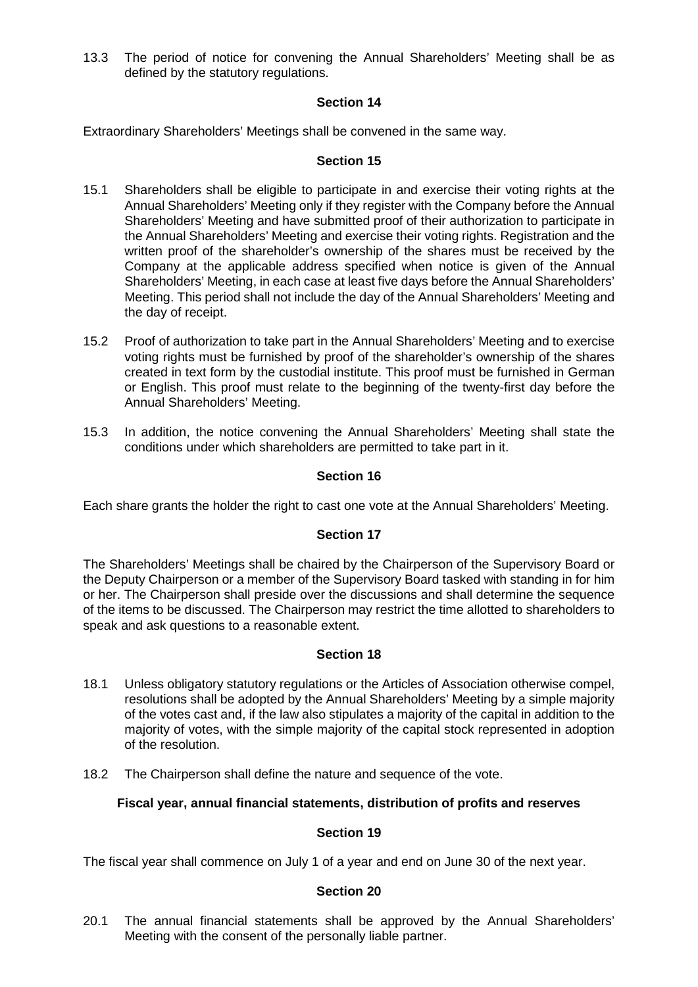13.3 The period of notice for convening the Annual Shareholders' Meeting shall be as defined by the statutory regulations.

# **Section 14**

Extraordinary Shareholders' Meetings shall be convened in the same way.

#### **Section 15**

- 15.1 Shareholders shall be eligible to participate in and exercise their voting rights at the Annual Shareholders' Meeting only if they register with the Company before the Annual Shareholders' Meeting and have submitted proof of their authorization to participate in the Annual Shareholders' Meeting and exercise their voting rights. Registration and the written proof of the shareholder's ownership of the shares must be received by the Company at the applicable address specified when notice is given of the Annual Shareholders' Meeting, in each case at least five days before the Annual Shareholders' Meeting. This period shall not include the day of the Annual Shareholders' Meeting and the day of receipt.
- 15.2 Proof of authorization to take part in the Annual Shareholders' Meeting and to exercise voting rights must be furnished by proof of the shareholder's ownership of the shares created in text form by the custodial institute. This proof must be furnished in German or English. This proof must relate to the beginning of the twenty-first day before the Annual Shareholders' Meeting.
- 15.3 In addition, the notice convening the Annual Shareholders' Meeting shall state the conditions under which shareholders are permitted to take part in it.

## **Section 16**

Each share grants the holder the right to cast one vote at the Annual Shareholders' Meeting.

## **Section 17**

The Shareholders' Meetings shall be chaired by the Chairperson of the Supervisory Board or the Deputy Chairperson or a member of the Supervisory Board tasked with standing in for him or her. The Chairperson shall preside over the discussions and shall determine the sequence of the items to be discussed. The Chairperson may restrict the time allotted to shareholders to speak and ask questions to a reasonable extent.

## **Section 18**

- 18.1 Unless obligatory statutory regulations or the Articles of Association otherwise compel, resolutions shall be adopted by the Annual Shareholders' Meeting by a simple majority of the votes cast and, if the law also stipulates a majority of the capital in addition to the majority of votes, with the simple majority of the capital stock represented in adoption of the resolution.
- 18.2 The Chairperson shall define the nature and sequence of the vote.

## **Fiscal year, annual financial statements, distribution of profits and reserves**

#### **Section 19**

The fiscal year shall commence on July 1 of a year and end on June 30 of the next year.

#### **Section 20**

20.1 The annual financial statements shall be approved by the Annual Shareholders' Meeting with the consent of the personally liable partner.